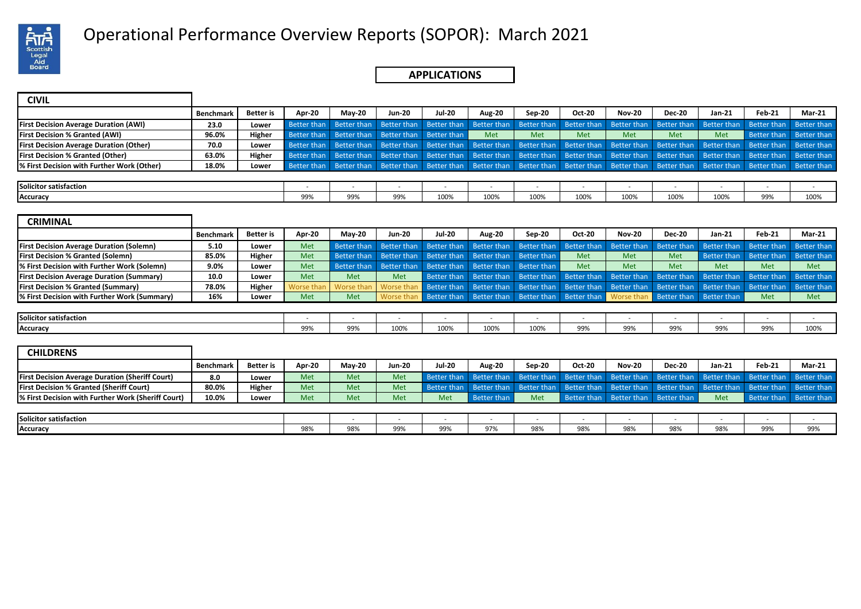

# Operational Performance Overview Reports (SOPOR): March 2021 .

## **APPLICATIONS**

| <b>CIVIL</b>                                   |             |                  |             |                                     |               |               |                                                                                                                                                 |        |        |               |               |          |                         |                                                                                                                                                             |
|------------------------------------------------|-------------|------------------|-------------|-------------------------------------|---------------|---------------|-------------------------------------------------------------------------------------------------------------------------------------------------|--------|--------|---------------|---------------|----------|-------------------------|-------------------------------------------------------------------------------------------------------------------------------------------------------------|
|                                                | Benchmark I | <b>Better</b> is | Apr-20      | <b>Mav-20</b>                       | <b>Jun-20</b> | <b>Jul-20</b> | <b>Aug-20</b>                                                                                                                                   | Sep-20 | Oct-20 | <b>Nov-20</b> | <b>Dec-20</b> | $Jan-21$ | Feb-21                  | <b>Mar-21</b>                                                                                                                                               |
| <b>First Decision Average Duration (AWI)</b>   | 23.0        | Lower            |             |                                     |               |               |                                                                                                                                                 |        |        |               |               |          |                         | Better than Better than Better than Better than Better than Better than Better than Better than Better than Better than Better than Better than Better than |
| <b>First Decision % Granted (AWI)</b>          | 96.0%       | Higher           | Better than | Better than Better than Better than |               |               | <b>Met</b>                                                                                                                                      | Met    | Met    | Met           | <b>Met</b>    | Met      | Better than Better than |                                                                                                                                                             |
| <b>First Decision Average Duration (Other)</b> | 70.0        | Lower            |             |                                     |               |               | Better than Better than Better than Better than Better than Better than Better than Better than Better than Better than Better than Better than |        |        |               |               |          |                         |                                                                                                                                                             |
| <b>First Decision % Granted (Other)</b>        | 63.0%       | Higher           | Better than |                                     |               |               |                                                                                                                                                 |        |        |               |               |          |                         | Better than Better than Better than Better than Better than Better than Better than Better than Better than Better than Better than                         |
| % First Decision with Further Work (Other)     | 18.0%       | Lower            |             |                                     |               |               |                                                                                                                                                 |        |        |               |               |          |                         | Better than Better than Better than Better than Better than Better than Better than Better than Better than Better than Better than Better than             |
|                                                |             |                  |             |                                     |               |               |                                                                                                                                                 |        |        |               |               |          |                         |                                                                                                                                                             |

| Solicitor satisfaction |                        |                        |     |      |      |      |      |      |      |      |                      |      |
|------------------------|------------------------|------------------------|-----|------|------|------|------|------|------|------|----------------------|------|
| Accuracy               | 00 <sub>0</sub><br>フフパ | 00 <sup>0</sup><br>99% | 99% | 100% | 100% | 100% | 100% | 100% | 100% | 100% | 0.001<br><b>JJ/0</b> | 100% |

| <b>CRIMINAL</b>                                  |                  |                  |            |                    |                    |                    |                          |                          |                                     |                          |                                                                        |                          |             |                          |
|--------------------------------------------------|------------------|------------------|------------|--------------------|--------------------|--------------------|--------------------------|--------------------------|-------------------------------------|--------------------------|------------------------------------------------------------------------|--------------------------|-------------|--------------------------|
|                                                  | <b>Benchmark</b> | <b>Better</b> is | Apr-20     | May-20             | <b>Jun-20</b>      | <b>Jul-20</b>      | Aug-20                   | Sep-20                   | <b>Oct-20</b>                       | <b>Nov-20</b>            | <b>Dec-20</b>                                                          | Jan-21                   | Feb-21      | <b>Mar-21</b>            |
| <b>First Decision Average Duration (Solemn)</b>  | 5.10             | Lower            | Met        | <b>Better than</b> | <b>Better than</b> | <b>Better than</b> | Better than              | Better than              | Better than                         | Better than              | <b>Better than</b>                                                     | <b>Better than</b>       | Better than | Better than              |
| <b>First Decision % Granted (Solemn)</b>         | 85.0%            | Higher           | Met        | <b>Better than</b> | Better than        |                    | Better than Better than  | Better than              | <b>Met</b>                          | <b>Met</b>               | Met                                                                    | Better than              | Better than | Better than              |
| % First Decision with Further Work (Solemn)      | 9.0%             | Lower            | Met        | Better than        | Better than        | Better than        | Better than              | Better than              | <b>Met</b>                          | <b>Met</b>               | Met                                                                    | <b>Met</b>               | <b>Met</b>  | Met                      |
| <b>First Decision Average Duration (Summary)</b> | 10.0             | Lower            | Met        | Met                | Met                |                    | Better than Better than  | Better than              | Better than                         | Better than              | Better than                                                            | Better than              | Better than | Better than              |
| <b>First Decision % Granted (Summary)</b>        | 78.0%            | Higher           | Worse than | Worse than         | Worse tha          |                    | Better than Better than  |                          | Better than Better than Better than |                          | Better than                                                            | Better than              | Better than | Better than              |
| % First Decision with Further Work (Summary)     | 16%              | Lower            | Met        | Met                | Worse than         |                    |                          |                          |                                     |                          | Better than Better than Better than Better than Worse than Better than | Better than              | Met         | Met                      |
|                                                  |                  |                  |            |                    |                    |                    |                          |                          |                                     |                          |                                                                        |                          |             |                          |
| Solicitor satisfaction                           |                  |                  |            | $\sim$             | $\sim$             |                    | $\overline{\phantom{a}}$ | $\overline{\phantom{a}}$ | $\overline{\phantom{a}}$            | $\overline{\phantom{a}}$ | $\overline{\phantom{a}}$                                               | $\overline{\phantom{a}}$ | $\sim$      | $\overline{\phantom{a}}$ |
| Accuracy                                         |                  |                  | 99%        | 99%                | 100%               | 100%               | 100%                     | 100%                     | 99%                                 | 99%                      | 99%                                                                    | 99%                      | 99%         | 100%                     |
|                                                  |                  |                  |            |                    |                    |                    |                          |                          |                                     |                          |                                                                        |                          |             |                          |
| <b>CHILDRENS</b>                                 |                  |                  |            |                    |                    |                    |                          |                          |                                     |                          |                                                                        |                          |             |                          |
|                                                  | <b>Benchmark</b> | <b>Better</b> is | Apr-20     | $May-20$           | <b>Jun-20</b>      | <b>Jul-20</b>      | Aug-20                   | Sep-20                   | <b>Oct-20</b>                       | <b>Nov-20</b>            | <b>Dec-20</b>                                                          | Jan-21                   | Feb-21      | <b>Mar-21</b>            |

|                                                        | г репсппынк | <b>DELLEI</b> IS  | AVI-40 | IVIdY-ZU | JUII-40    | Jul-20 | Aug-Zu | JED-ZU | vu zu | .vov-zu        | DEL ZU | JdII-41 | ren-21 | IVIdi-41 |
|--------------------------------------------------------|-------------|-------------------|--------|----------|------------|--------|--------|--------|-------|----------------|--------|---------|--------|----------|
| <b>First Decision Average Duration (Sheriff Court)</b> | 8.0         | Lowe <sup>,</sup> | Met    | Met      | Met        |        |        |        |       | .              |        |         |        |          |
| <b>First Decision % Granted (Sheriff Court)</b>        | 80.0%       | Higher            | Met    | Met      | <b>Met</b> |        |        |        |       | $r + h \sim r$ |        |         |        |          |
| % First Decision with Further Work (Sheriff Court)     | 10.0%       | Lower             | Met    | Met      |            | Met    |        | Met    |       | - - - -        |        | Met     |        |          |
|                                                        |             |                   |        |          |            |        |        |        |       |                |        |         |        |          |

| Solicitor satisfaction |                        |     |            |                                      |     |                        |     |                |                 |            |              |     |
|------------------------|------------------------|-----|------------|--------------------------------------|-----|------------------------|-----|----------------|-----------------|------------|--------------|-----|
| Accuracy               | $- - -$<br><b>JO/0</b> | 98% | 00%<br>ココノ | 00 <sup>0</sup><br>.<br><i>,,,</i> , | 97% | 00 <sub>0</sub><br>98% | 98% | $- - -$<br>98% | 0.90<br>, o , u | 000<br>50% | 0.001<br>ココパ | 99% |